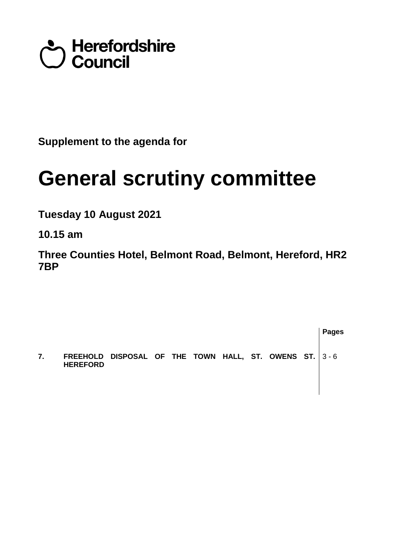## Council<br>Council

**Supplement to the agenda for**

## **General scrutiny committee**

**Tuesday 10 August 2021**

**10.15 am**

**Three Counties Hotel, Belmont Road, Belmont, Hereford, HR2 7BP**

**Pages 7. FREEHOLD DISPOSAL OF THE TOWN HALL, ST. OWENS ST. HEREFORD**  3 - 6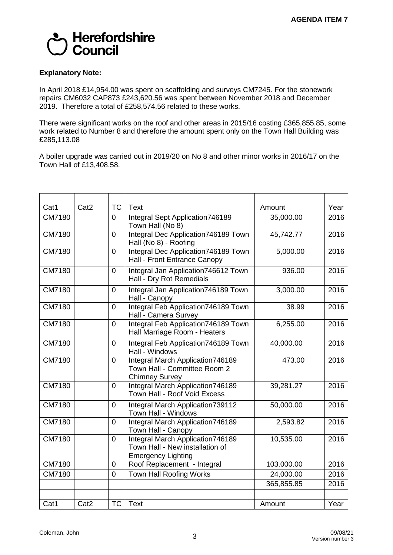

## **Explanatory Note:**

In April 2018 £14,954.00 was spent on scaffolding and surveys CM7245. For the stonework repairs CM6032 CAP873 £243,620.56 was spent between November 2018 and December 2019. Therefore a total of £258,574.56 related to these works.

There were significant works on the roof and other areas in 2015/16 costing £365,855.85, some work related to Number 8 and therefore the amount spent only on the Town Hall Building was £285,113.08

A boiler upgrade was carried out in 2019/20 on No 8 and other minor works in 2016/17 on the Town Hall of £13,408.58.

| Cat1          | Cat <sub>2</sub> | <b>TC</b>      | <b>Text</b>                                                                                      | Amount     | Year |
|---------------|------------------|----------------|--------------------------------------------------------------------------------------------------|------------|------|
| CM7180        |                  | $\mathbf 0$    | Integral Sept Application746189<br>Town Hall (No 8)                                              | 35,000.00  | 2016 |
| CM7180        |                  | $\mathbf 0$    | Integral Dec Application746189 Town<br>Hall (No 8) - Roofing                                     | 45,742.77  | 2016 |
| CM7180        |                  | $\mathbf 0$    | Integral Dec Application746189 Town<br>Hall - Front Entrance Canopy                              | 5,000.00   | 2016 |
| CM7180        |                  | $\mathbf 0$    | Integral Jan Application746612 Town<br>Hall - Dry Rot Remedials                                  | 936.00     | 2016 |
| CM7180        |                  | $\mathbf 0$    | Integral Jan Application746189 Town<br>Hall - Canopy                                             | 3,000.00   | 2016 |
| CM7180        |                  | $\overline{0}$ | Integral Feb Application746189 Town<br>Hall - Camera Survey                                      | 38.99      | 2016 |
| CM7180        |                  | $\overline{0}$ | Integral Feb Application746189 Town<br>Hall Marriage Room - Heaters                              | 6,255.00   | 2016 |
| <b>CM7180</b> |                  | $\overline{0}$ | Integral Feb Application746189 Town<br>Hall - Windows                                            | 40,000.00  | 2016 |
| CM7180        |                  | $\overline{0}$ | Integral March Application746189<br>Town Hall - Committee Room 2<br><b>Chimney Survey</b>        | 473.00     | 2016 |
| CM7180        |                  | $\mathbf 0$    | Integral March Application746189<br>Town Hall - Roof Void Excess                                 | 39,281.27  | 2016 |
| CM7180        |                  | $\mathbf 0$    | Integral March Application739112<br>Town Hall - Windows                                          | 50,000.00  | 2016 |
| CM7180        |                  | $\mathbf 0$    | Integral March Application746189<br>Town Hall - Canopy                                           | 2,593.82   | 2016 |
| CM7180        |                  | $\overline{0}$ | Integral March Application746189<br>Town Hall - New installation of<br><b>Emergency Lighting</b> | 10,535.00  | 2016 |
| CM7180        |                  | $\mathbf 0$    | Roof Replacement - Integral                                                                      | 103,000.00 | 2016 |
| CM7180        |                  | $\overline{0}$ | <b>Town Hall Roofing Works</b>                                                                   | 24,000.00  | 2016 |
|               |                  |                |                                                                                                  | 365,855.85 | 2016 |
| Cat1          | Cat <sub>2</sub> | <b>TC</b>      | <b>Text</b>                                                                                      | Amount     | Year |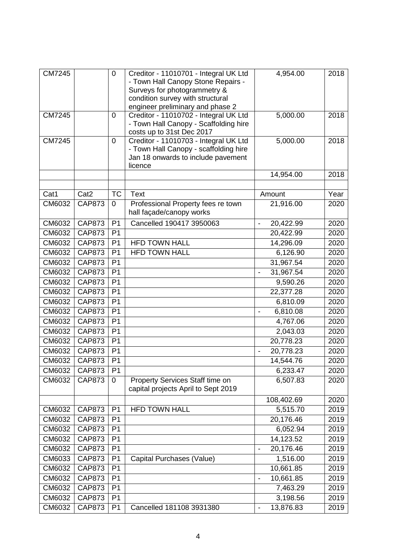| <b>CM7245</b> |                  | $\mathbf 0$    | Creditor - 11010701 - Integral UK Ltd<br>- Town Hall Canopy Stone Repairs -<br>Surveys for photogrammetry &<br>condition survey with structural<br>engineer preliminary and phase 2 | 4,954.00                                  | 2018 |
|---------------|------------------|----------------|-------------------------------------------------------------------------------------------------------------------------------------------------------------------------------------|-------------------------------------------|------|
| <b>CM7245</b> |                  | $\overline{0}$ | Creditor - 11010702 - Integral UK Ltd<br>- Town Hall Canopy - Scaffolding hire<br>costs up to 31st Dec 2017                                                                         | 5,000.00                                  | 2018 |
| <b>CM7245</b> |                  | 0              | Creditor - 11010703 - Integral UK Ltd<br>- Town Hall Canopy - scaffolding hire<br>Jan 18 onwards to include pavement<br>licence                                                     | 5,000.00                                  | 2018 |
|               |                  |                |                                                                                                                                                                                     | 14,954.00                                 | 2018 |
|               |                  |                |                                                                                                                                                                                     |                                           |      |
| Cat1          | Cat <sub>2</sub> | <b>TC</b>      | <b>Text</b>                                                                                                                                                                         | Amount                                    | Year |
| CM6032        | <b>CAP873</b>    | $\overline{0}$ | Professional Property fees re town<br>hall façade/canopy works                                                                                                                      | 21,916.00                                 | 2020 |
| CM6032        | <b>CAP873</b>    | P <sub>1</sub> | Cancelled 190417 3950063                                                                                                                                                            | 20,422.99<br>$\overline{\phantom{a}}$     | 2020 |
| CM6032        | <b>CAP873</b>    | P <sub>1</sub> |                                                                                                                                                                                     | 20,422.99                                 | 2020 |
| CM6032        | <b>CAP873</b>    | P <sub>1</sub> | <b>HFD TOWN HALL</b>                                                                                                                                                                | 14,296.09                                 | 2020 |
| CM6032        | <b>CAP873</b>    | P <sub>1</sub> | <b>HFD TOWN HALL</b>                                                                                                                                                                | 6,126.90                                  | 2020 |
| CM6032        | <b>CAP873</b>    | P <sub>1</sub> |                                                                                                                                                                                     | 31,967.54                                 | 2020 |
| CM6032        | <b>CAP873</b>    | P <sub>1</sub> |                                                                                                                                                                                     | 31,967.54<br>$\overline{\phantom{0}}$     | 2020 |
| CM6032        | <b>CAP873</b>    | P <sub>1</sub> |                                                                                                                                                                                     | 9,590.26                                  | 2020 |
| CM6032        | <b>CAP873</b>    | P <sub>1</sub> |                                                                                                                                                                                     | 22,377.28                                 | 2020 |
| CM6032        | <b>CAP873</b>    | P <sub>1</sub> |                                                                                                                                                                                     | 6,810.09                                  | 2020 |
| CM6032        | <b>CAP873</b>    | P <sub>1</sub> |                                                                                                                                                                                     | 6,810.08<br>$\overline{\phantom{a}}$      | 2020 |
| CM6032        | <b>CAP873</b>    | P <sub>1</sub> |                                                                                                                                                                                     | 4,767.06                                  | 2020 |
| CM6032        | <b>CAP873</b>    | P <sub>1</sub> |                                                                                                                                                                                     | 2,043.03                                  | 2020 |
| CM6032        | <b>CAP873</b>    | P <sub>1</sub> |                                                                                                                                                                                     | 20,778.23                                 | 2020 |
| CM6032        | <b>CAP873</b>    | P <sub>1</sub> |                                                                                                                                                                                     | 20,778.23                                 | 2020 |
| CM6032        | CAP873           | P <sub>1</sub> |                                                                                                                                                                                     | 14,544.76                                 | 2020 |
| CM6032        | <b>CAP873</b>    | P <sub>1</sub> |                                                                                                                                                                                     | 6,233.47                                  | 2020 |
| CM6032        | <b>CAP873</b>    | $\mathbf 0$    | Property Services Staff time on<br>capital projects April to Sept 2019                                                                                                              | 6,507.83                                  | 2020 |
|               |                  |                |                                                                                                                                                                                     | 108,402.69                                | 2020 |
| CM6032        | <b>CAP873</b>    | P <sub>1</sub> | <b>HFD TOWN HALL</b>                                                                                                                                                                | 5,515.70                                  | 2019 |
| CM6032        | <b>CAP873</b>    | P <sub>1</sub> |                                                                                                                                                                                     | 20,176.46                                 | 2019 |
| CM6032        | <b>CAP873</b>    | P <sub>1</sub> |                                                                                                                                                                                     | 6,052.94                                  | 2019 |
| CM6032        | <b>CAP873</b>    | P <sub>1</sub> |                                                                                                                                                                                     | 14,123.52                                 | 2019 |
| CM6032        | <b>CAP873</b>    | P <sub>1</sub> |                                                                                                                                                                                     | 20,176.46                                 | 2019 |
| CM6033        | <b>CAP873</b>    | P <sub>1</sub> | Capital Purchases (Value)                                                                                                                                                           | 1,516.00                                  | 2019 |
| CM6032        | <b>CAP873</b>    | P <sub>1</sub> |                                                                                                                                                                                     | 10,661.85                                 | 2019 |
| CM6032        | <b>CAP873</b>    | P <sub>1</sub> |                                                                                                                                                                                     | 10,661.85<br>$\overline{a}$               | 2019 |
| CM6032        | <b>CAP873</b>    | P <sub>1</sub> |                                                                                                                                                                                     | 7,463.29                                  | 2019 |
| CM6032        | <b>CAP873</b>    | P <sub>1</sub> |                                                                                                                                                                                     | 3,198.56                                  | 2019 |
| CM6032        | <b>CAP873</b>    | P <sub>1</sub> | Cancelled 181108 3931380                                                                                                                                                            | 13,876.83<br>$\qquad \qquad \blacksquare$ | 2019 |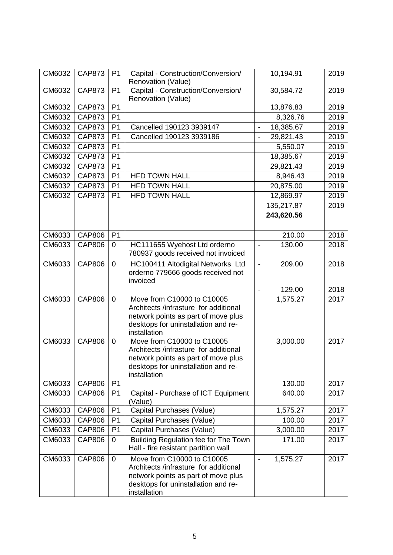| CM6032 | <b>CAP873</b> | P <sub>1</sub> | Capital - Construction/Conversion/                                           | 10,194.91                             | 2019 |
|--------|---------------|----------------|------------------------------------------------------------------------------|---------------------------------------|------|
|        |               |                | Renovation (Value)                                                           |                                       |      |
| CM6032 | <b>CAP873</b> | P <sub>1</sub> | Capital - Construction/Conversion/                                           | 30,584.72                             | 2019 |
|        |               |                | Renovation (Value)                                                           |                                       |      |
| CM6032 | <b>CAP873</b> | P <sub>1</sub> |                                                                              | 13,876.83                             | 2019 |
| CM6032 | <b>CAP873</b> | P <sub>1</sub> |                                                                              | 8,326.76                              | 2019 |
| CM6032 | <b>CAP873</b> | P <sub>1</sub> | Cancelled 190123 3939147                                                     | 18,385.67<br>$\overline{\phantom{a}}$ | 2019 |
| CM6032 | <b>CAP873</b> | P <sub>1</sub> | Cancelled 190123 3939186                                                     | 29,821.43<br>$\overline{\phantom{a}}$ | 2019 |
| CM6032 | <b>CAP873</b> | P <sub>1</sub> |                                                                              | 5,550.07                              | 2019 |
| CM6032 | <b>CAP873</b> | P <sub>1</sub> |                                                                              | 18,385.67                             | 2019 |
| CM6032 | <b>CAP873</b> | P <sub>1</sub> |                                                                              | 29,821.43                             | 2019 |
| CM6032 | <b>CAP873</b> | P <sub>1</sub> | <b>HFD TOWN HALL</b>                                                         | 8,946.43                              | 2019 |
| CM6032 | <b>CAP873</b> | P <sub>1</sub> | <b>HFD TOWN HALL</b>                                                         | 20,875.00                             | 2019 |
| CM6032 | <b>CAP873</b> | P <sub>1</sub> | <b>HFD TOWN HALL</b>                                                         | 12,869.97                             | 2019 |
|        |               |                |                                                                              | 135,217.87                            | 2019 |
|        |               |                |                                                                              | 243,620.56                            |      |
|        |               |                |                                                                              |                                       |      |
| CM6033 | <b>CAP806</b> | P <sub>1</sub> |                                                                              | 210.00                                | 2018 |
| CM6033 | <b>CAP806</b> | $\mathbf 0$    | HC111655 Wyehost Ltd orderno                                                 | 130.00<br>$\overline{a}$              | 2018 |
|        |               |                | 780937 goods received not invoiced                                           |                                       |      |
| CM6033 | <b>CAP806</b> | $\mathbf 0$    | HC100411 Altodigital Networks Ltd                                            | 209.00<br>$\blacksquare$              | 2018 |
|        |               |                | orderno 779666 goods received not                                            |                                       |      |
|        |               |                | invoiced                                                                     |                                       |      |
|        |               |                |                                                                              | 129.00<br>$\blacksquare$              | 2018 |
| CM6033 | <b>CAP806</b> | $\overline{0}$ | Move from C10000 to C10005                                                   | 1,575.27                              | 2017 |
|        |               |                | Architects /infrasture for additional<br>network points as part of move plus |                                       |      |
|        |               |                | desktops for uninstallation and re-                                          |                                       |      |
|        |               |                | installation                                                                 |                                       |      |
| CM6033 | <b>CAP806</b> | $\mathbf 0$    | Move from C10000 to C10005                                                   | 3,000.00                              | 2017 |
|        |               |                | Architects /infrasture for additional                                        |                                       |      |
|        |               |                | network points as part of move plus                                          |                                       |      |
|        |               |                | desktops for uninstallation and re-                                          |                                       |      |
| CM6033 | <b>CAP806</b> | P <sub>1</sub> | installation                                                                 | 130.00                                | 2017 |
| CM6033 | <b>CAP806</b> | P <sub>1</sub> | Capital - Purchase of ICT Equipment                                          | 640.00                                | 2017 |
|        |               |                | (Value)                                                                      |                                       |      |
| CM6033 | <b>CAP806</b> | P <sub>1</sub> | Capital Purchases (Value)                                                    | 1,575.27                              | 2017 |
| CM6033 | <b>CAP806</b> | P <sub>1</sub> | Capital Purchases (Value)                                                    | 100.00                                | 2017 |
| CM6033 | <b>CAP806</b> | P <sub>1</sub> | Capital Purchases (Value)                                                    | 3,000.00                              | 2017 |
| CM6033 | <b>CAP806</b> | 0              | Building Regulation fee for The Town                                         | 171.00                                | 2017 |
|        |               |                | Hall - fire resistant partition wall                                         |                                       |      |
| CM6033 | <b>CAP806</b> | $\mathbf 0$    | Move from C10000 to C10005                                                   | 1,575.27<br>$\overline{\phantom{a}}$  | 2017 |
|        |               |                | Architects /infrasture for additional                                        |                                       |      |
|        |               |                | network points as part of move plus                                          |                                       |      |
|        |               |                | desktops for uninstallation and re-                                          |                                       |      |
|        |               |                | installation                                                                 |                                       |      |